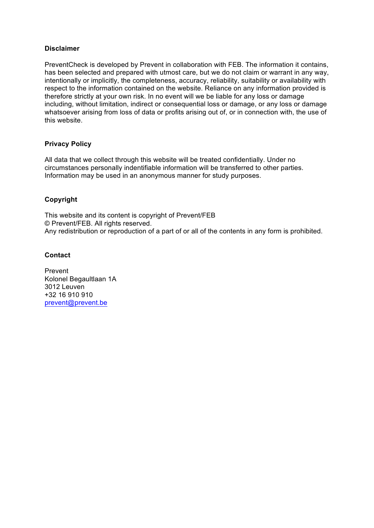### **Disclaimer**

PreventCheck is developed by Prevent in collaboration with FEB. The information it contains, has been selected and prepared with utmost care, but we do not claim or warrant in any way, intentionally or implicitly, the completeness, accuracy, reliability, suitability or availability with respect to the information contained on the website. Reliance on any information provided is therefore strictly at your own risk. In no event will we be liable for any loss or damage including, without limitation, indirect or consequential loss or damage, or any loss or damage whatsoever arising from loss of data or profits arising out of, or in connection with, the use of this website.

## **Privacy Policy**

All data that we collect through this website will be treated confidentially. Under no circumstances personally indentifiable information will be transferred to other parties. Information may be used in an anonymous manner for study purposes.

# **Copyright**

This website and its content is copyright of Prevent/FEB © Prevent/FEB. All rights reserved. Any redistribution or reproduction of a part of or all of the contents in any form is prohibited.

### **Contact**

Prevent Kolonel Begaultlaan 1A 3012 Leuven +32 16 910 910 prevent@prevent.be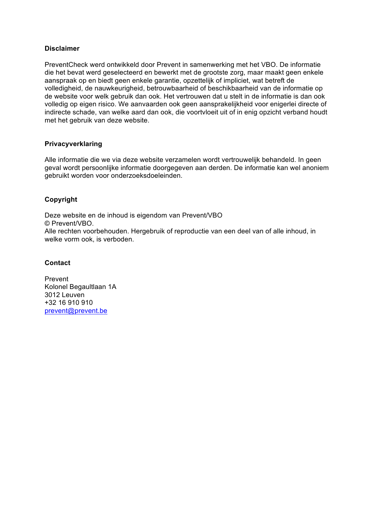### **Disclaimer**

PreventCheck werd ontwikkeld door Prevent in samenwerking met het VBO. De informatie die het bevat werd geselecteerd en bewerkt met de grootste zorg, maar maakt geen enkele aanspraak op en biedt geen enkele garantie, opzettelijk of impliciet, wat betreft de volledigheid, de nauwkeurigheid, betrouwbaarheid of beschikbaarheid van de informatie op de website voor welk gebruik dan ook. Het vertrouwen dat u stelt in de informatie is dan ook volledig op eigen risico. We aanvaarden ook geen aansprakelijkheid voor enigerlei directe of indirecte schade, van welke aard dan ook, die voortvloeit uit of in enig opzicht verband houdt met het gebruik van deze website.

## **Privacyverklaring**

Alle informatie die we via deze website verzamelen wordt vertrouwelijk behandeld. In geen geval wordt persoonlijke informatie doorgegeven aan derden. De informatie kan wel anoniem gebruikt worden voor onderzoeksdoeleinden.

# **Copyright**

Deze website en de inhoud is eigendom van Prevent/VBO © Prevent/VBO. Alle rechten voorbehouden. Hergebruik of reproductie van een deel van of alle inhoud, in welke vorm ook, is verboden.

## **Contact**

Prevent Kolonel Begaultlaan 1A 3012 Leuven +32 16 910 910 prevent@prevent.be